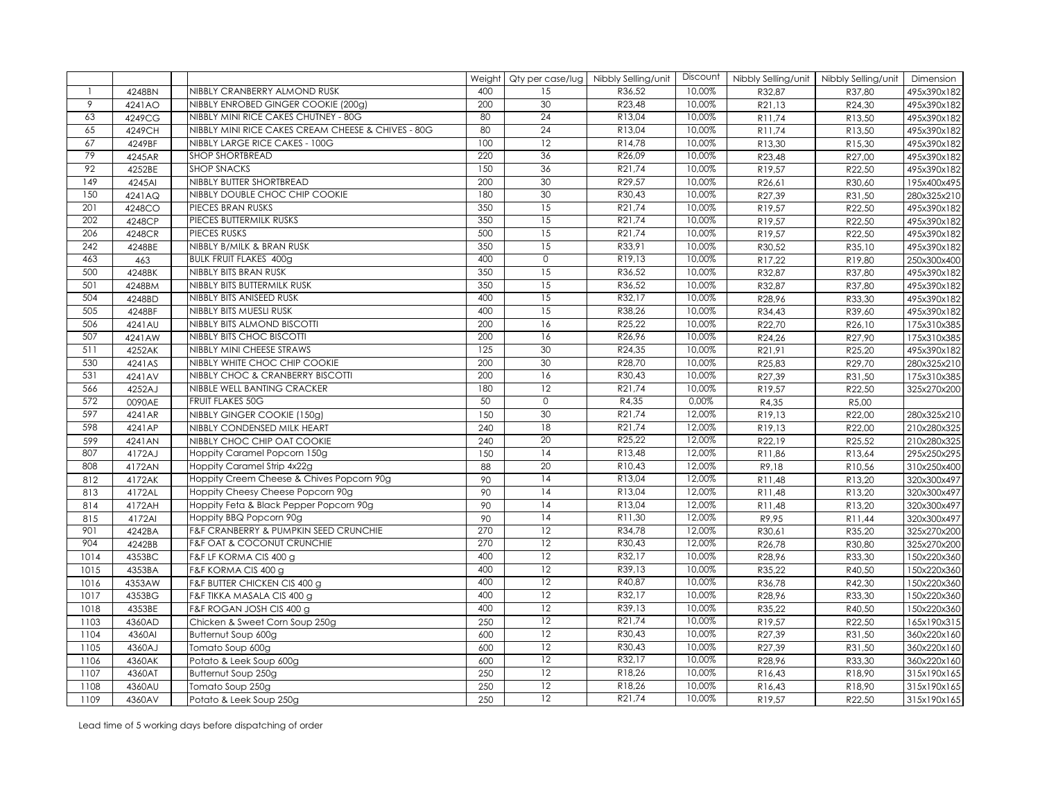|                  |        |                                                    |     |                 | Weight   Qty per case/lug   Nibbly Selling/unit | Discount | Nibbly Selling/unit | Nibbly Selling/unit | Dimension   |
|------------------|--------|----------------------------------------------------|-----|-----------------|-------------------------------------------------|----------|---------------------|---------------------|-------------|
|                  | 4248BN | NIBBLY CRANBERRY ALMOND RUSK                       | 400 | 15              | R36,52                                          | 10,00%   | R32,87              | R37,80              | 495x390x182 |
| 9                | 4241AO | NIBBLY ENROBED GINGER COOKIE (200g)                | 200 | 30              | R23,48                                          | 10,00%   | R21,13              | R24,30              | 495x390x182 |
| 63               | 4249CG | NIBBLY MINI RICE CAKES CHUTNEY - 80G               | 80  | $\overline{24}$ | R13,04                                          | 10,00%   | R11,74              | R13,50              | 495x390x182 |
| 65               | 4249CH | NIBBLY MINI RICE CAKES CREAM CHEESE & CHIVES - 80G | 80  | $\overline{24}$ | R13,04                                          | 10,00%   | R11,74              | R13,50              | 495x390x182 |
| 67               | 4249BF | NIBBLY LARGE RICE CAKES - 100G                     | 100 | $\overline{12}$ | R14,78                                          | 10,00%   | R13,30              | R15,30              | 495x390x182 |
| 79               | 4245AR | <b>SHOP SHORTBREAD</b>                             | 220 | 36              | R26,09                                          | 10,00%   | R23,48              | R27,00              | 495x390x182 |
| 92               | 4252BE | <b>SHOP SNACKS</b>                                 | 150 | 36              | R21,74                                          | 10,00%   | R19,57              | R22,50              | 495x390x182 |
| $\overline{149}$ | 4245AI | NIBBLY BUTTER SHORTBREAD                           | 200 | 30              | R29,57                                          | 10,00%   | R26,61              | R30,60              | 195x400x495 |
| 150              | 4241AQ | NIBBLY DOUBLE CHOC CHIP COOKIE                     | 180 | 30              | R30,43                                          | 10,00%   | R27,39              | R31,50              | 280x325x210 |
| 201              | 4248CO | PIECES BRAN RUSKS                                  | 350 | 15              | R21,74                                          | 10,00%   | R19,57              | R22,50              | 495x390x182 |
| 202              | 4248CP | PIECES BUTTERMILK RUSKS                            | 350 | 15              | R21,74                                          | 10,00%   | R19,57              | R22,50              | 495x390x182 |
| 206              | 4248CR | <b>PIECES RUSKS</b>                                | 500 | $\overline{15}$ | R21,74                                          | 10,00%   | R19,57              | R22,50              | 495x390x182 |
| 242              | 4248BE | NIBBLY B/MILK & BRAN RUSK                          | 350 | $\overline{15}$ | R33,91                                          | 10,00%   | R30,52              | R35,10              | 495x390x182 |
| 463              | 463    | <b>BULK FRUIT FLAKES 400g</b>                      | 400 | 0               | R19,13                                          | 10,00%   | R17,22              | R19,80              | 250x300x400 |
| 500              | 4248BK | NIBBLY BITS BRAN RUSK                              | 350 | 15              | R36,52                                          | 10,00%   | R32,87              | R37,80              | 495x390x182 |
| 501              | 4248BM | NIBBLY BITS BUTTERMILK RUSK                        | 350 | 15              | R36,52                                          | 10,00%   | R32,87              | R37,80              | 495x390x182 |
| 504              | 4248BD | NIBBLY BITS ANISEED RUSK                           | 400 | 15              | R32,17                                          | 10,00%   | R28,96              | R33,30              | 495x390x182 |
| 505              | 4248BF | NIBBLY BITS MUESLI RUSK                            | 400 | 15              | R38,26                                          | 10,00%   | R34,43              | R39,60              | 495x390x182 |
| 506              | 4241AU | NIBBLY BITS ALMOND BISCOTTI                        | 200 | 16              | R25,22                                          | 10,00%   | R22,70              | R26,10              | 175x310x385 |
| 507              | 4241AW | NIBBLY BITS CHOC BISCOTTI                          | 200 | 16              | R26,96                                          | 10,00%   | R24,26              | R27,90              | 175x310x385 |
| 511              | 4252AK | NIBBLY MINI CHEESE STRAWS                          | 125 | 30              | R24,35                                          | 10,00%   | R21,91              | R25,20              | 495x390x182 |
| 530              | 4241AS | NIBBLY WHITE CHOC CHIP COOKIE                      | 200 | 30              | R28,70                                          | 10,00%   | R25,83              | R29,70              | 280x325x210 |
| 531              | 4241AV | NIBBLY CHOC & CRANBERRY BISCOTTI                   | 200 | 16              | R30,43                                          | 10,00%   | R27,39              | R31,50              | 175x310x385 |
| 566              | 4252AJ | NIBBLE WELL BANTING CRACKER                        | 180 | $\overline{12}$ | R21,74                                          | 10,00%   | R19,57              | R22,50              | 325x270x200 |
| 572              | 0090AE | <b>FRUIT FLAKES 50G</b>                            | 50  | $\overline{0}$  | R4,35                                           | 0.00%    | R4,35               | R5,00               |             |
| 597              | 4241AR | NIBBLY GINGER COOKIE (150g)                        | 150 | 30              | R21,74                                          | 12,00%   | R19,13              | R22,00              | 280x325x210 |
| 598              | 4241AP | NIBBLY CONDENSED MILK HEART                        | 240 | 18              | R21,74                                          | 12,00%   | R19,13              | R22,00              | 210x280x325 |
| 599              | 4241AN | NIBBLY CHOC CHIP OAT COOKIE                        | 240 | $\overline{20}$ | R25,22                                          | 12,00%   | R22,19              | R25,52              | 210x280x325 |
| 807              | 4172AJ | Hoppity Caramel Popcorn 150g                       | 150 | $\overline{14}$ | R13,48                                          | 12,00%   | R11,86              | R13,64              | 295x250x295 |
| 808              | 4172AN | Hoppity Caramel Strip 4x22g                        | 88  | 20              | R10,43                                          | 12,00%   | R9,18               | R10,56              | 310x250x400 |
| 812              | 4172AK | Hoppity Creem Cheese & Chives Popcorn 90g          | 90  | 14              | R13,04                                          | 12,00%   | R11,48              | R13,20              | 320x300x497 |
| 813              | 4172AL | Hoppity Cheesy Cheese Popcorn 90g                  | 90  | 14              | R13,04                                          | 12,00%   | R11,48              | R13,20              | 320x300x497 |
| 814              | 4172AH | Hoppity Feta & Black Pepper Popcorn 90g            | 90  | 14              | R13,04                                          | 12,00%   | R11,48              | R13,20              | 320x300x497 |
| 815              | 4172AI | Hoppity BBQ Popcorn 90g                            | 90  | $\overline{14}$ | R11,30                                          | 12,00%   | R9,95               | R11,44              | 320x300x497 |
| 901              | 4242BA | F&F CRANBERRY & PUMPKIN SEED CRUNCHIE              | 270 | $\overline{12}$ | R34,78                                          | 12,00%   | R30,61              | R35,20              | 325x270x200 |
| 904              | 4242BB | <b>F&amp;F OAT &amp; COCONUT CRUNCHIE</b>          | 270 | 12              | R30,43                                          | 12,00%   | R26,78              | R30,80              | 325x270x200 |
| 1014             | 4353BC | F&F LF KORMA CIS 400 g                             | 400 | $\overline{12}$ | R32,17                                          | 10,00%   | R28,96              | R33,30              | 150x220x360 |
| 1015             | 4353BA | F&F KORMA CIS 400 g                                | 400 | $\overline{12}$ | R39,13                                          | 10,00%   | R35,22              | R40,50              | 150x220x360 |
| 1016             | 4353AW | F&F BUTTER CHICKEN CIS 400 g                       | 400 | 12              | R40,87                                          | 10,00%   | R36,78              | R42,30              | 150x220x360 |
| 1017             | 4353BG | F&F TIKKA MASALA CIS 400 g                         | 400 | 12              | R32.17                                          | 10,00%   | R28,96              | R33,30              | 150x220x360 |
| 1018             | 4353BE | F&F ROGAN JOSH CIS 400 g                           | 400 | 12              | R39,13                                          | 10,00%   | R35,22              | R40,50              | 150x220x360 |
| 1103             | 4360AD | Chicken & Sweet Corn Soup 250g                     | 250 | $\overline{12}$ | R21,74                                          | 10,00%   | R19,57              | R22,50              | 165x190x315 |
| 1104             | 4360AI | Butternut Soup 600g                                | 600 | 12              | R30,43                                          | 10,00%   | R27,39              | R31,50              | 360x220x160 |
| 1105             | 4360AJ | Tomato Soup 600g                                   | 600 | 12              | R30,43                                          | 10,00%   | R27,39              | R31,50              | 360x220x160 |
| 1106             | 4360AK | Potato & Leek Soup 600g                            | 600 | 12              | R32,17                                          | 10,00%   | R28,96              | R33,30              | 360x220x160 |
| 1107             | 4360AT | Butternut Soup 250g                                | 250 | 12              | R18,26                                          | 10,00%   | R16,43              | R18,90              | 315x190x165 |
| 1108             | 4360AU | Tomato Soup 250g                                   | 250 | 12              | R18,26                                          | 10,00%   | R16,43              | R18,90              | 315x190x165 |
| 1109             | 4360AV | Potato & Leek Soup 250g                            | 250 | $\overline{12}$ | R21,74                                          | 10,00%   | R19,57              | R22,50              | 315x190x165 |

Lead time of 5 working days before dispatching of order